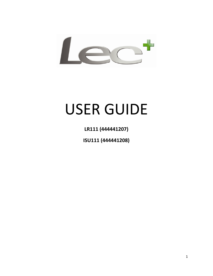

# USER GUIDE

**LR111 (444441207)**

**ISU111 (444441208)**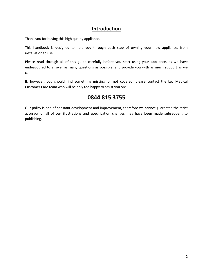## **Introduction**

Thank you for buying this high quality appliance.

This handbook is designed to help you through each step of owning your new appliance, from installation to use.

Please read through all of this guide carefully before you start using your appliance, as we have endeavoured to answer as many questions as possible, and provide you with as much support as we can.

If, however, you should find something missing, or not covered, please contact the Lec Medical Customer Care team who will be only too happy to assist you on:

## **0844 815 3755**

Our policy is one of constant development and improvement, therefore we cannot guarantee the strict accuracy of all of our illustrations and specification changes may have been made subsequent to publishing.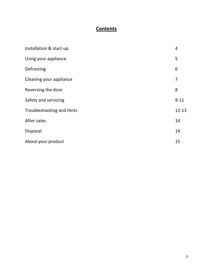## **Contents**

| Installation & start-up          | 4         |
|----------------------------------|-----------|
| Using your appliance             | 5         |
| Defrosting                       | 6         |
| Cleaning your appliance          | 7         |
| Reversing the door               | 8         |
| Safety and servicing             | $9 - 11$  |
| <b>Troubleshooting and Hints</b> | $12 - 13$ |
| After sales                      | 14        |
| Disposal                         | 14        |
| About your product               | 15        |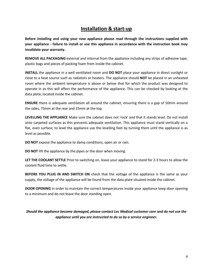## **Installation & start-up**

**Before installing and using your new appliance please read through the instructions supplied with your appliance - failure to install or use this appliance in accordance with the instruction book may invalidate your warranty.**

**REMOVE ALL PACKAGING** external and internal from the appliance including any strips of adhesive tape, plastic bags and pieces of packing foam from inside the cabinet.

**INSTALL** the appliance in a well ventilated room and **DO NOT** place your appliance in direct sunlight or close to a heat source such as radiators or heaters. The appliance should **NOT** be placed in an unheated room where the ambient temperature is above or below that for which the product was designed to operate in as this will affect the performance of the appliance. This can be checked by looking at the data plate, located inside the cabinet.

**ENSURE** there is adequate ventilation all around the cabinet, ensuring there is a gap of 50mm around the sides, 75mm at the rear and 25mm at the top.

**LEVELLING THE APPLIANCE** Make sure the cabinet does not 'rock' and that it stands level. Do not install onto carpeted surfaces as this prevents adequate ventilation. This appliance must stand vertically on a flat, even surface; to level the appliance use the levelling feet by turning them until the appliance is as level as possible.

**DO NOT** expose the appliance to damp conditions, open air or rain.

**DO NOT** lift the appliance by the pipes or the door when moving.

**LET THE COOLANT SETTLE** Prior to switching on, leave your appliance to stand for 2-3 hours to allow the coolant fluid time to settle.

**BEFORE YOU PLUG IN AND SWITCH ON** check that the voltage of the appliance is the same as your supply, the voltage of the appliance will be found from the data plate situated inside the cabinet.

**DOOR OPENING** In order to maintain the correct temperatures inside your appliance keep door opening to a minimum and do not leave the door standing open.

*Should the appliance become damaged, please contact Lec Medical customer care and do not use the appliance until you are instructed to do so by a service engineer.*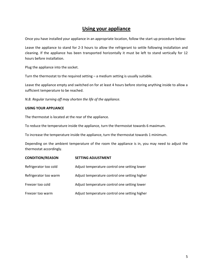## **Using your appliance**

Once you have installed your appliance in an appropriate location, follow the start up procedure below:

Leave the appliance to stand for 2-3 hours to allow the refrigerant to settle following installation and cleaning. If the appliance has been transported horizontally it must be left to stand vertically for 12 hours before installation.

Plug the appliance into the socket.

Turn the thermostat to the required setting – a medium setting is usually suitable.

Leave the appliance empty and switched on for at least 4 hours before storing anything inside to allow a sufficient temperature to be reached.

*N.B. Regular turning off may shorten the life of the appliance.*

#### **USING YOUR APPLIANCE**

The thermostat is located at the rear of the appliance.

To reduce the temperature inside the appliance, turn the thermostat towards 6 maximum.

To increase the temperature inside the appliance, turn the thermostat towards 1 minimum.

Depending on the ambient temperature of the room the appliance is in, you may need to adjust the thermostat accordingly.

| <b>CONDITION/REASON</b> | <b>SETTING ADJUSTMENT</b>                     |  |
|-------------------------|-----------------------------------------------|--|
| Refrigerator too cold   | Adjust temperature control one setting lower  |  |
| Refrigerator too warm   | Adjust temperature control one setting higher |  |
| Freezer too cold        | Adjust temperature control one setting lower  |  |
| Freezer too warm        | Adjust temperature control one setting higher |  |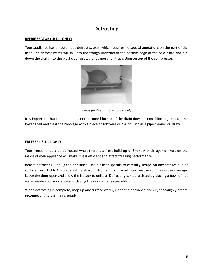## **Defrosting**

#### **REFRIGERATOR (LR111 ONLY)**

Your appliance has an automatic defrost system which requires no special operations on the part of the user. The defrost water will fall into the trough underneath the bottom edge of the cold plate and run down the drain into the plastic defrost water evaporation tray sitting on top of the compressor.



*Image for illustration purposes only*

It is important that the drain does not become blocked. If the drain does become blocked, remove the lower shelf and clear the blockage with a piece of soft wire or plastic such as a pipe cleaner or straw.

#### **FREEZER (ISU111 ONLY)**

Your freezer should be defrosted when there is a frost build up of 5mm. A thick layer of frost on the inside of your appliance will make it less efficient and affect freezing performance.

Before defrosting, unplug the appliance. Use a plastic spatula to carefully scrape off any soft residue of surface frost. DO NOT scrape with a sharp instrument, or use artificial heat which may cause damage. Leave the door open and allow the freezer to defrost. Defrosting can be assisted by placing a bowl of hot water inside your appliance and closing the door as far as possible.

When defrosting is complete, mop up any surface water, clean the appliance and dry thoroughly before reconnecting to the mains supply.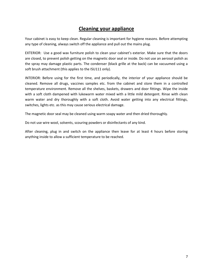## **Cleaning your appliance**

Your cabinet is easy to keep clean. Regular cleaning is important for hygiene reasons. Before attempting any type of cleaning, always switch off the appliance and pull out the mains plug.

EXTERIOR: Use a good wax furniture polish to clean your cabinet's exterior. Make sure that the doors are closed, to prevent polish getting on the magnetic door seal or inside. Do not use an aerosol polish as the spray may damage plastic parts. The condenser (black grille at the back) can be vacuumed using a soft brush attachment (this applies to the ISU111 only).

INTERIOR: Before using for the first time, and periodically, the interior of your appliance should be cleaned. Remove all drugs, vaccines samples etc. from the cabinet and store them in a controlled temperature environment. Remove all the shelves, baskets, drawers and door fittings. Wipe the inside with a soft cloth dampened with lukewarm water mixed with a little mild detergent. Rinse with clean warm water and dry thoroughly with a soft cloth. Avoid water getting into any electrical fittings, switches, lights etc. as this may cause serious electrical damage.

The magnetic door seal may be cleaned using warm soapy water and then dried thoroughly.

Do not use wire wool, solvents, scouring powders or disinfectants of any kind.

After cleaning, plug in and switch on the appliance then leave for at least 4 hours before storing anything inside to allow a sufficient temperature to be reached.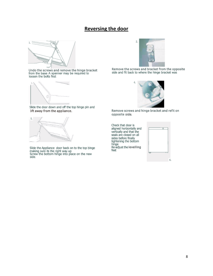## **Reversing the door**



Undo the screws and remove the hinge bracket<br>from the base A spanner may be required to<br>loosen the bolts first



Slide the door down and off the top hinge pin and lift away from the appliance.



Slide the Appliance door back on to the top hinge<br>making sure its the right way.up<br>Screw the bottom hinge into place on the new<br>side.



Remove the screws and bracket from the opposite<br>side and fit back to where the hinge bracket was



Remove screws and hinge bracket and refit on opposite side.

Check that door is aligned horizontally and vertically and that the<br>seals are closed on all sides before finally<br>tightening the bottom hinge<br>Re-adjust the levelling<br>feet

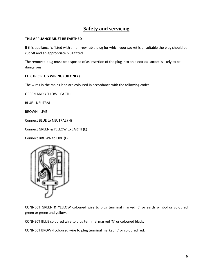## **Safety and servicing**

#### **THIS APPLIANCE MUST BE EARTHED**

If this appliance is fitted with a non-rewirable plug for which your socket is unsuitable the plug should be cut off and an appropriate plug fitted.

The removed plug must be disposed of as insertion of the plug into an electrical socket is likely to be dangerous.

#### **ELECTRIC PLUG WIRING (UK ONLY)**

The wires in the mains lead are coloured in accordance with the following code:

GREEN AND YELLOW - EARTH

BLUE - NEUTRAL

BROWN - LIVE

Connect BLUE to NEUTRAL (N)

Connect GREEN & YELLOW to EARTH (E)

Connect BROWN to LIVE (L)



CONNECT GREEN & YELLOW coloured wire to plug terminal marked 'E' or earth symbol or coloured green or green and yellow.

CONNECT BLUE coloured wire to plug terminal marked 'N' or coloured black.

CONNECT BROWN coloured wire to plug terminal marked 'L' or coloured red.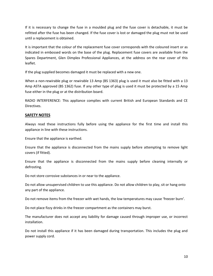If it is necessary to change the fuse in a moulded plug and the fuse cover is detachable, it must be refitted after the fuse has been changed. If the fuse cover is lost or damaged the plug must not be used until a replacement is obtained.

It is important that the colour of the replacement fuse cover corresponds with the coloured insert or as indicated in embossed words on the base of the plug. Replacement fuse covers are available from the Spares Department, Glen Dimplex Professional Appliances, at the address on the rear cover of this leaflet.

If the plug supplied becomes damaged it must be replaced with a new one.

When a non-rewirable plug or rewirable 13 Amp (BS 1363) plug is used it must also be fitted with a 13 Amp ASTA approved (BS 1362) fuse. If any other type of plug is used it must be protected by a 15 Amp fuse either in the plug or at the distribution board.

RADIO INTERFERENCE: This appliance complies with current British and European Standards and CE Directives.

#### **SAFETY NOTES**

Always read these instructions fully before using the appliance for the first time and install this appliance in line with these instructions.

Ensure that the appliance is earthed.

Ensure that the appliance is disconnected from the mains supply before attempting to remove light covers (if fitted).

Ensure that the appliance is disconnected from the mains supply before cleaning internally or defrosting.

Do not store corrosive substances in or near to the appliance.

Do not allow unsupervised children to use this appliance. Do not allow children to play, sit or hang onto any part of the appliance.

Do not remove items from the freezer with wet hands, the low temperatures may cause 'freezer burn'.

Do not place fizzy drinks in the freezer compartment as the containers may burst.

The manufacturer does not accept any liability for damage caused through improper use, or incorrect installation.

Do not install this appliance if it has been damaged during transportation. This includes the plug and power supply cord.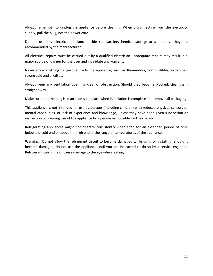Always remember to unplug the appliance before cleaning. When disconnecting from the electricity supply, pull the plug, not the power cord.

Do not use any electrical appliance inside the vaccine/chemical storage area - unless they are recommended by the manufacturer.

All electrical repairs must be carried out by a qualified electrician. Inadequate repairs may result in a major source of danger for the user and invalidate any warranty.

Never store anything dangerous inside the appliance, such as flammables, combustibles, explosives, strong acid and alkali etc.

Always keep any ventilation openings clear of obstruction. Should they become blocked, clear them straight away.

Make sure that the plug is in an accessible place when installation is complete and remove all packaging.

This appliance is not intended for use by persons (including children) with reduced physical, sensory or mental capabilities, or lack of experience and knowledge, unless they have been given supervision or instruction concerning use of the appliance by a person responsible for their safety.

Refrigerating appliances might not operate consistently when sited for an extended period of time below the cold end or above the high end of the range of temperatures of the appliance.

**Warning**: Do not allow the refrigerant circuit to become damaged while using or installing. Should it become damaged, do not use the appliance until you are instructed to do so by a service engineer. Refrigerant can ignite or cause damage to the eye when leaking.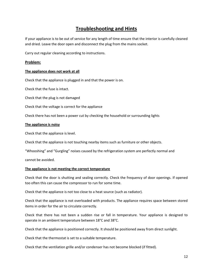## **Troubleshooting and Hints**

If your appliance is to be out of service for any length of time ensure that the interior is carefully cleaned and dried. Leave the door open and disconnect the plug from the mains socket.

Carry out regular cleaning according to instructions.

#### **Problem:**

#### **The appliance does not work at all**

Check that the appliance is plugged in and that the power is on.

Check that the fuse is intact.

Check that the plug is not damaged

Check that the voltage is correct for the appliance

Check there has not been a power cut by checking the household or surrounding lights

#### **The appliance is noisy**

Check that the appliance is level.

Check that the appliance is not touching nearby items such as furniture or other objects.

"Whooshing" and "Gurgling" noises caused by the refrigeration system are perfectly normal and

cannot be avoided.

#### **The appliance is not meeting the correct temperature**

Check that the door is shutting and sealing correctly. Check the frequency of door openings. If opened too often this can cause the compressor to run for some time.

Check that the appliance is not too close to a heat source (such as radiator).

Check that the appliance is not overloaded with products. The appliance requires space between stored items in order for the air to circulate correctly.

Check that there has not been a sudden rise or fall in temperature. Your appliance is designed to operate in an ambient temperature between 18°C and 38°C.

Check that the appliance is positioned correctly. It should be positioned away from direct sunlight.

Check that the thermostat is set to a suitable temperature.

Check that the ventilation grille and/or condenser has not become blocked (if fitted).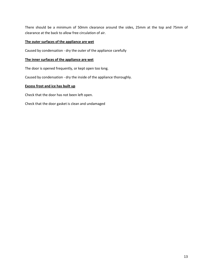There should be a minimum of 50mm clearance around the sides, 25mm at the top and 75mm of clearance at the back to allow free circulation of air.

#### **The outer surfaces of the appliance are wet**

Caused by condensation - dry the outer of the appliance carefully

#### **The inner surfaces of the appliance are wet**

The door is opened frequently, or kept open too long.

Caused by condensation - dry the inside of the appliance thoroughly.

#### **Excess frost and ice has built up**

Check that the door has not been left open.

Check that the door gasket is clean and undamaged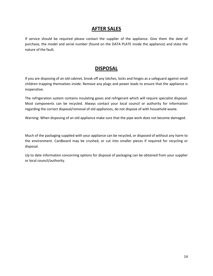### **AFTER SALES**

If service should be required please contact the supplier of the appliance. Give them the date of purchase, the model and serial number (found on the DATA PLATE inside the appliance) and state the nature of the fault.

## **DISPOSAL**

If you are disposing of an old cabinet, break off any latches, locks and hinges as a safeguard against small children trapping themselves inside. Remove any plugs and power leads to ensure that the appliance is inoperative.

The refrigeration system contains insulating gases and refrigerant which will require specialist disposal. Most components can be recycled. Always contact your local council or authority for information regarding the correct disposal/removal of old appliances, do not dispose of with household waste.

Warning: When disposing of an old appliance make sure that the pipe work does not become damaged.

Much of the packaging supplied with your appliance can be recycled, or disposed of without any harm to the environment. Cardboard may be crushed, or cut into smaller pieces if required for recycling or disposal.

Up to date information concerning options for disposal of packaging can be obtained from your supplier or local council/authority.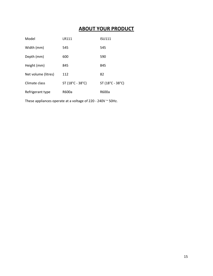## **ABOUT YOUR PRODUCT**

| Model               | LR111                           | <b>ISU111</b>    |
|---------------------|---------------------------------|------------------|
| Width (mm)          | 545                             | 545              |
| Depth (mm)          | 600                             | 590              |
| Height (mm)         | 845                             | 845              |
| Net volume (litres) | 112                             | 82               |
| Climate class       | $ST(18^{\circ}C - 38^{\circ}C)$ | ST (18°C - 38°C) |
| Refrigerant type    | R600a                           | R600a            |

These appliances operate at a voltage of 220 - 240V ~ 50Hz.